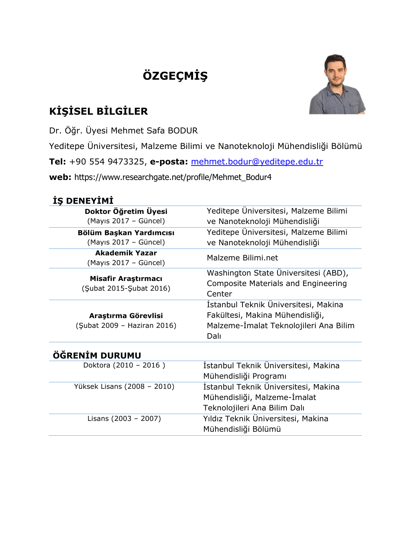# **[ÖZGEÇMİŞ](http://tureng.com/search/curriculum%20vitae)**



## **KİŞİSEL BİLGİLER**

Dr. Öğr. Üyesi Mehmet Safa BODUR

Yeditepe Üniversitesi, Malzeme Bilimi ve Nanoteknoloji Mühendisliği Bölümü

**Tel:** +90 554 9473325, **e-posta:** [mehmet.bodur@yeditepe.edu.tr](mailto:mehmet.bodur@yeditepe.edu.tr)

**web:** https://www.researchgate.net/profile/Mehmet\_Bodur4

### **İŞ DENEYİMİ**

| Doktor Öğretim Üyesi                                                                                                                                                            | Yeditepe Üniversitesi, Malzeme Bilimi                                                        |
|---------------------------------------------------------------------------------------------------------------------------------------------------------------------------------|----------------------------------------------------------------------------------------------|
| (Mayıs 2017 - Güncel)<br>ve Nanoteknoloji Mühendisliği                                                                                                                          |                                                                                              |
| Yeditepe Üniversitesi, Malzeme Bilimi<br>Bölüm Başkan Yardımcısı                                                                                                                |                                                                                              |
| (Mayıs 2017 - Güncel)                                                                                                                                                           | ve Nanoteknoloji Mühendisliği                                                                |
| Akademik Yazar<br>(Mayıs 2017 - Güncel)                                                                                                                                         | Malzeme Bilimi.net                                                                           |
| Misafir Araştırmacı<br>(Subat 2015-Subat 2016)                                                                                                                                  | Washington State Üniversitesi (ABD),<br><b>Composite Materials and Engineering</b><br>Center |
| İstanbul Teknik Üniversitesi, Makina<br>Fakültesi, Makina Mühendisliği,<br>Araştırma Görevlisi<br>(Subat 2009 - Haziran 2016)<br>Malzeme-Imalat Teknolojileri Ana Bilim<br>Dalı |                                                                                              |
| ÖĞRENİM DURUMU                                                                                                                                                                  |                                                                                              |
| Doktora (2010 - 2016)                                                                                                                                                           | İstanbul Teknik Üniversitesi, Makina                                                         |

| Doktora (2010 - 2016)       | Istanbul Teknik Universitesi, Makina<br>Mühendisliği Programı                                        |
|-----------------------------|------------------------------------------------------------------------------------------------------|
| Yüksek Lisans (2008 - 2010) | İstanbul Teknik Üniversitesi, Makina<br>Mühendisliği, Malzeme-İmalat<br>Teknolojileri Ana Bilim Dalı |
| Lisans (2003 - 2007)        | Yıldız Teknik Üniversitesi, Makina<br>Mühendisliği Bölümü                                            |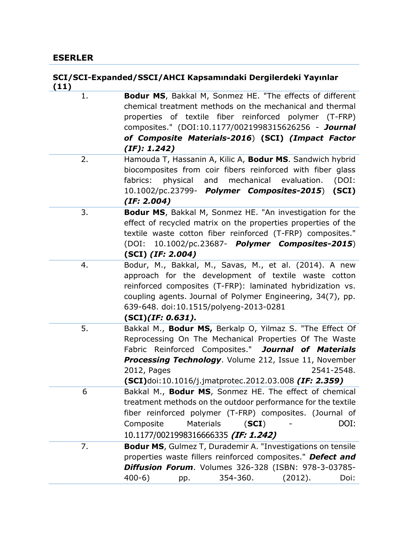#### **SCI/SCI-Expanded/SSCI/AHCI Kapsamındaki Dergilerdeki Yayınlar (11)**

| 1. | Bodur MS, Bakkal M, Sonmez HE. "The effects of different<br>chemical treatment methods on the mechanical and thermal<br>properties of textile fiber reinforced polymer (T-FRP)<br>composites." (DOI:10.1177/0021998315626256 - Journal<br>of Composite Materials-2016) (SCI) (Impact Factor<br>(IF): 1.242)                        |
|----|------------------------------------------------------------------------------------------------------------------------------------------------------------------------------------------------------------------------------------------------------------------------------------------------------------------------------------|
| 2. | Hamouda T, Hassanin A, Kilic A, Bodur MS. Sandwich hybrid<br>biocomposites from coir fibers reinforced with fiber glass<br>fabrics:<br>physical<br>and<br>mechanical<br>evaluation.<br>(DOI:<br>10.1002/pc.23799- <b>Polymer Composites-2015</b> )<br>(SCI)<br>(IF: 2.004)                                                         |
| 3. | Bodur MS, Bakkal M, Sonmez HE. "An investigation for the<br>effect of recycled matrix on the properties properties of the<br>textile waste cotton fiber reinforced (T-FRP) composites."<br>(DOI: 10.1002/pc.23687- Polymer Composites-2015)<br>$(SCI)$ (IF: 2.004)                                                                 |
| 4. | Bodur, M., Bakkal, M., Savas, M., et al. (2014). A new<br>approach for the development of textile waste cotton<br>reinforced composites (T-FRP): laminated hybridization vs.<br>coupling agents. Journal of Polymer Engineering, 34(7), pp.<br>639-648. doi:10.1515/polyeng-2013-0281<br>(SCI)(IF: 0.631).                         |
| 5. | Bakkal M., Bodur MS, Berkalp O, Yilmaz S. "The Effect Of<br>Reprocessing On The Mechanical Properties Of The Waste<br>Fabric Reinforced Composites." Journal of Materials<br><b>Processing Technology.</b> Volume 212, Issue 11, November<br>2012, Pages<br>2541-2548.<br>$(SCI)$ doi:10.1016/j.jmatprotec.2012.03.008 (IF: 2.359) |
| 6  | Bakkal M., Bodur MS, Sonmez HE. The effect of chemical<br>treatment methods on the outdoor performance for the textile<br>fiber reinforced polymer (T-FRP) composites. (Journal of<br>DOI:<br>Composite<br><b>Materials</b><br>(SCI)<br>10.1177/0021998316666335 (IF: 1.242)                                                       |
| 7. | <b>Bodur MS, Gulmez T, Durademir A. "Investigations on tensile</b><br>properties waste fillers reinforced composites." Defect and<br>Diffusion Forum. Volumes 326-328 (ISBN: 978-3-03785-<br>354-360.<br>$400-6)$<br>(2012).<br>Doi:<br>pp.                                                                                        |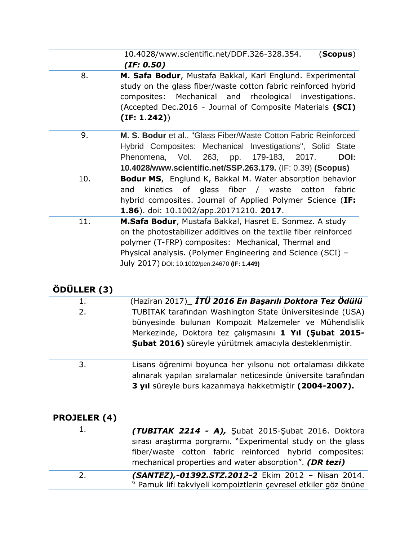10.4028/www.scientific.net/DDF.326-328.354. (**Scopus**) *(IF: 0.50)*

- 8. **M. Safa Bodur**, Mustafa Bakkal, Karl Englund. Experimental study on the glass fiber/waste cotton fabric reinforced hybrid composites: Mechanical and rheological investigations. (Accepted Dec.2016 - Journal of Composite Materials **(SCI) (IF: 1.242)**)
- 9. **M. S. Bodur** et al., "Glass Fiber/Waste Cotton Fabric Reinforced Hybrid Composites: Mechanical Investigations", Solid State Phenomena, Vol. 263, pp. 179-183, 2017. **DOI: 10.4028/www.scientific.net/SSP.263.179.** (IF: 0.39) **(Scopus)**
- 10. **Bodur MS**, Englund K, Bakkal M. Water absorption behavior and kinetics of glass fiber / waste cotton fabric hybrid composites. Journal of Applied Polymer Science (**IF: 1.86**). doi: 10.1002/app.20171210. **2017**.
	- 11. **M.Safa Bodur**, Mustafa Bakkal, Hasret E. Sonmez. A study on the photostabilizer additives on the textile fiber reinforced polymer (T-FRP) composites: Mechanical, Thermal and Physical analysis. (Polymer Engineering and Science (SCI) – July 2017) DOI: 10.1002/pen.24670 **(IF: 1.449)**

### **ÖDÜLLER (3)**

| 1. | (Haziran 2017)_ İTÜ 2016 En Başarılı Doktora Tez Ödülü     |
|----|------------------------------------------------------------|
| 2. | TUBİTAK tarafından Washington State Üniversitesinde (USA)  |
|    | bünyesinde bulunan Kompozit Malzemeler ve Mühendislik      |
|    | Merkezinde, Doktora tez çalışmasını 1 Yıl (Subat 2015-     |
|    | Subat 2016) süreyle yürütmek amacıyla desteklenmiştir.     |
|    |                                                            |
| 3. | Lisans öğrenimi boyunca her yılsonu not ortalaması dikkate |

3. Lisans öğrenimi boyunca her yılsonu not ortalaması dikkate alınarak yapılan sıralamalar neticesinde üniversite tarafından **3 yıl** süreyle burs kazanmaya hakketmiştir **(2004-2007).**

| <b>PROJELER (4)</b> |                                                                                                                                                                                                                                        |
|---------------------|----------------------------------------------------------------------------------------------------------------------------------------------------------------------------------------------------------------------------------------|
| 1.                  | (TUBITAK 2214 - A), Subat 2015-Subat 2016. Doktora<br>sırası araştırma porgramı. "Experimental study on the glass<br>fiber/waste cotton fabric reinforced hybrid composites:<br>mechanical properties and water absorption". (DR tezi) |
| 2.                  | (SANTEZ),-01392.STZ.2012-2 Ekim 2012 - Nisan 2014.<br>" Pamuk lifi takviyeli kompoiztlerin çevresel etkiler göz önüne                                                                                                                  |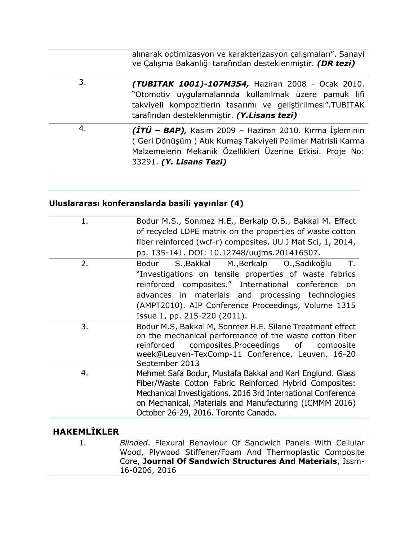|    | ve Çalışma Bakanlığı tarafından desteklenmiştir. (DR tezi)                                                                                                                                                                |
|----|---------------------------------------------------------------------------------------------------------------------------------------------------------------------------------------------------------------------------|
| 3. | (TUBITAK 1001)-107M354, Haziran 2008 - Ocak 2010.<br>"Otomotiv uygulamalarında kullanılmak üzere pamuk lifi<br>takviyeli kompozitlerin tasarımı ve geliştirilmesi".TUBITAK<br>tarafından desteklenmiştir. (Y.Lisans tezi) |
| 4. | $(TTU - BAP)$ , Kasım 2009 - Haziran 2010. Kırma İşleminin<br>(Geri Dönüşüm) Atık Kumaş Takviyeli Polimer Matrisli Karma<br>Malzemelerin Mekanik Özellikleri Üzerine Etkisi. Proje No:<br>33291. (Y. Lisans Tezi)         |

#### **Uluslararası konferanslarda basili yayınlar (4)**

| Bodur M.S., Sonmez H.E., Berkalp O.B., Bakkal M. Effect<br>of recycled LDPE matrix on the properties of waste cotton<br>fiber reinforced (wcf-r) composites. UU J Mat Sci, 1, 2014,<br>pp. 135-141. DOI: 10.12748/uujms.201416507.                                                                                    |
|-----------------------------------------------------------------------------------------------------------------------------------------------------------------------------------------------------------------------------------------------------------------------------------------------------------------------|
| S., Bakkal M., Berkalp O., Sadıkoğlu<br>T.<br>Bodur<br>"Investigations on tensile properties of waste fabrics<br>reinforced composites." International conference<br>- on<br>advances in materials and processing technologies<br>(AMPT2010). AIP Conference Proceedings, Volume 1315<br>Issue 1, pp. 215-220 (2011). |
| Bodur M.S, Bakkal M, Sonmez H.E. Silane Treatment effect<br>on the mechanical performance of the waste cotton fiber<br>reinforced composites.Proceedings of<br>composite<br>week@Leuven-TexComp-11 Conference, Leuven, 16-20<br>September 2013                                                                        |
| Mehmet Safa Bodur, Mustafa Bakkal and Karl Englund. Glass<br>Fiber/Waste Cotton Fabric Reinforced Hybrid Composites:<br>Mechanical Investigations. 2016 3rd International Conference<br>on Mechanical, Materials and Manufacturing (ICMMM 2016)<br>October 26-29, 2016. Toronto Canada.                               |
|                                                                                                                                                                                                                                                                                                                       |

### **HAKEMLİKLER**

1. *Blinded*. Flexural Behaviour Of Sandwich Panels With Cellular Wood, Plywood Stiffener/Foam And Thermoplastic Composite Core, **Journal Of Sandwich Structures And Materials**, Jssm-16-0206, 2016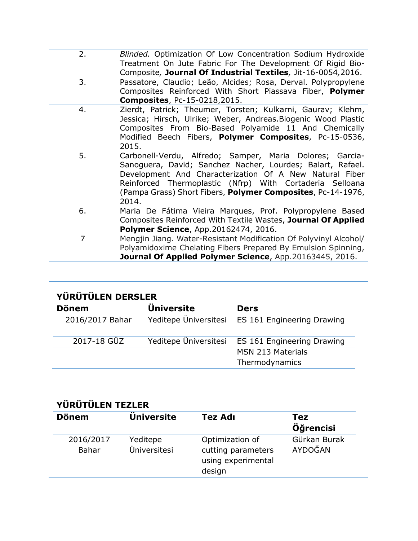| 2.             | Blinded. Optimization Of Low Concentration Sodium Hydroxide<br>Treatment On Jute Fabric For The Development Of Rigid Bio-<br>Composite, Journal Of Industrial Textiles, Jit-16-0054,2016.                                                                                                                             |
|----------------|-----------------------------------------------------------------------------------------------------------------------------------------------------------------------------------------------------------------------------------------------------------------------------------------------------------------------|
| 3.             | Passatore, Claudio; Leão, Alcides; Rosa, Derval. Polypropylene<br>Composites Reinforced With Short Piassava Fiber, Polymer<br><b>Composites, Pc-15-0218,2015.</b>                                                                                                                                                     |
| 4.             | Zierdt, Patrick; Theumer, Torsten; Kulkarni, Gaurav; Klehm,<br>Jessica; Hirsch, Ulrike; Weber, Andreas. Biogenic Wood Plastic<br>Composites From Bio-Based Polyamide 11 And Chemically<br>Modified Beech Fibers, Polymer Composites, Pc-15-0536,<br>2015.                                                             |
| 5.             | Carbonell-Verdu, Alfredo; Samper, Maria Dolores; Garcia-<br>Sanoguera, David; Sanchez Nacher, Lourdes; Balart, Rafael.<br>Development And Characterization Of A New Natural Fiber<br>Reinforced Thermoplastic (Nfrp) With Cortaderia Selloana<br>(Pampa Grass) Short Fibers, Polymer Composites, Pc-14-1976,<br>2014. |
| 6.             | Maria De Fátima Vieira Marques, Prof. Polypropylene Based<br>Composites Reinforced With Textile Wastes, Journal Of Applied<br><b>Polymer Science, App.20162474, 2016.</b>                                                                                                                                             |
| $\overline{7}$ | Mengjin Jiang. Water-Resistant Modification Of Polyvinyl Alcohol/<br>Polyamidoxime Chelating Fibers Prepared By Emulsion Spinning,<br>Journal Of Applied Polymer Science, App.20163445, 2016.                                                                                                                         |
|                |                                                                                                                                                                                                                                                                                                                       |

| YÜRÜTÜLEN DERSLER |                       |                            |
|-------------------|-----------------------|----------------------------|
| <b>Dönem</b>      | <b>Universite</b>     | <b>Ders</b>                |
| 2016/2017 Bahar   | Yeditepe Üniversitesi | ES 161 Engineering Drawing |
| 2017-18 GÜZ       | Yeditepe Üniversitesi | ES 161 Engineering Drawing |
|                   |                       | <b>MSN 213 Materials</b>   |
|                   |                       | Thermodynamics             |

### **YÜRÜTÜLEN TEZLER**

| <b>Dönem</b>              | <b>Universite</b>        | Tez Adı                                                               | Tez<br>Öğrencisi        |
|---------------------------|--------------------------|-----------------------------------------------------------------------|-------------------------|
| 2016/2017<br><b>Bahar</b> | Yeditepe<br>Üniversitesi | Optimization of<br>cutting parameters<br>using experimental<br>design | Gürkan Burak<br>AYDOĞAN |